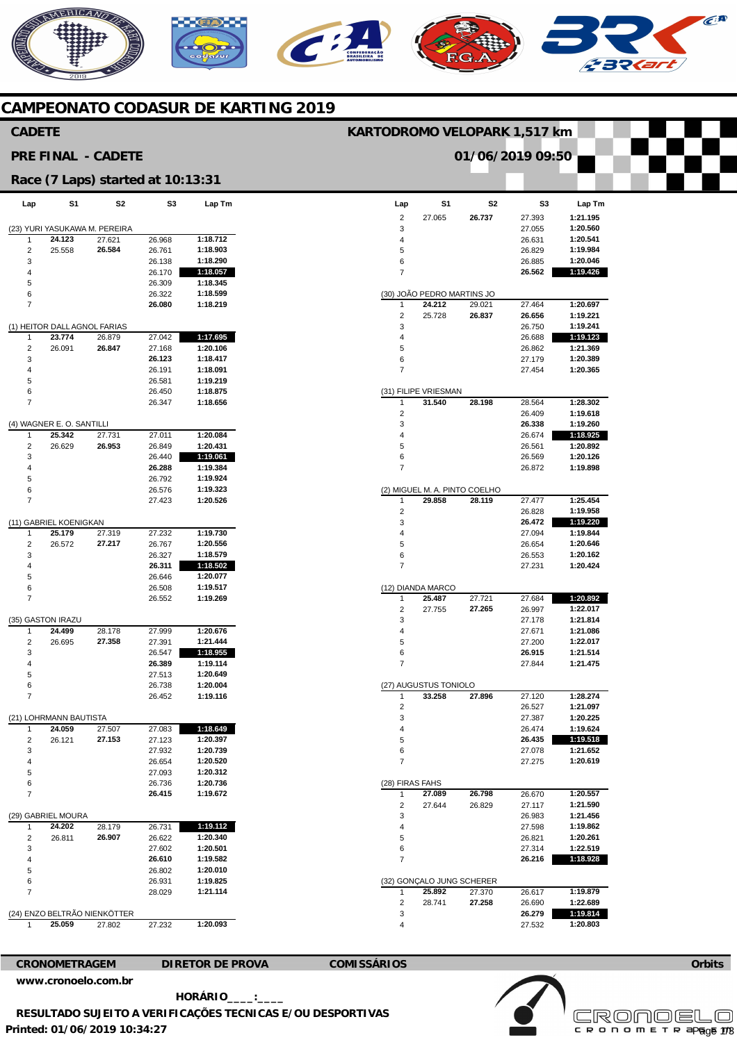# MERICANO  $\epsilon$ **A** C **BO**

## **CAMPEONATO CODASUR DE KARTING 2019**

| <b>CADETE</b>                                 |                              |                                   |                  |                      |                              | KARTODROMO VELOPARK 1,517 km  |                |                  |                      |  |
|-----------------------------------------------|------------------------------|-----------------------------------|------------------|----------------------|------------------------------|-------------------------------|----------------|------------------|----------------------|--|
| 01/06/2019 09:50<br><b>PRE FINAL - CADETE</b> |                              |                                   |                  |                      |                              |                               |                |                  |                      |  |
|                                               |                              | Race (7 Laps) started at 10:13:31 |                  |                      |                              |                               |                |                  |                      |  |
| Lap                                           | S1                           | S2                                | S <sub>3</sub>   | Lap Tm               | Lap                          | S1                            | S <sub>2</sub> | S <sub>3</sub>   | Lap Tm               |  |
|                                               |                              |                                   |                  |                      | $\sqrt{2}$                   | 27.065                        | 26.737         | 27.393           | 1:21.195             |  |
|                                               |                              | (23) YURI YASUKAWA M. PEREIRA     |                  |                      | 3                            |                               |                | 27.055           | 1:20.560             |  |
| $\mathbf{1}$                                  | 24.123                       | 27.621<br>26.584                  | 26.968           | 1:18.712<br>1:18.903 | 4<br>5                       |                               |                | 26.631           | 1:20.541<br>1:19.984 |  |
| $\overline{\mathbf{c}}$<br>3                  | 25.558                       |                                   | 26.761<br>26.138 | 1:18.290             | 6                            |                               |                | 26.829<br>26.885 | 1:20.046             |  |
| 4                                             |                              |                                   | 26.170           | 1:18.057             | $\overline{7}$               |                               |                | 26.562           | 1:19.426             |  |
| 5                                             |                              |                                   | 26.309           | 1:18.345             |                              |                               |                |                  |                      |  |
| 6                                             |                              |                                   | 26.322           | 1:18.599             |                              | (30) JOÃO PEDRO MARTINS JO    |                |                  |                      |  |
| $\overline{7}$                                |                              |                                   | 26.080           | 1:18.219             | $\mathbf{1}$                 | 24.212                        | 29.021         | 27.464           | 1:20.697             |  |
|                                               |                              |                                   |                  |                      | $\overline{\mathbf{c}}$      | 25.728                        | 26.837         | 26.656           | 1:19.221             |  |
|                                               | (1) HEITOR DALL AGNOL FARIAS |                                   |                  |                      | 3                            |                               |                | 26.750           | 1:19.241             |  |
| $\mathbf{1}$                                  | 23.774                       | 26.879                            | 27.042           | 1:17.695             | 4                            |                               |                | 26.688           | 1:19.123             |  |
| $\overline{2}$                                | 26.091                       | 26.847                            | 27.168           | 1:20.106             | 5                            |                               |                | 26.862           | 1:21.369             |  |
| 3                                             |                              |                                   | 26.123           | 1:18.417             | 6                            |                               |                | 27.179           | 1:20.389             |  |
| 4                                             |                              |                                   | 26.191           | 1:18.091             | $\overline{7}$               |                               |                | 27.454           | 1:20.365             |  |
| 5                                             |                              |                                   | 26.581           | 1:19.219             |                              |                               |                |                  |                      |  |
| 6                                             |                              |                                   | 26.450           | 1:18.875             |                              | (31) FILIPE VRIESMAN          |                |                  |                      |  |
| $\overline{7}$                                |                              |                                   | 26.347           | 1:18.656             | $\mathbf{1}$                 | 31.540                        | 28.198         | 28.564<br>26.409 | 1:28.302<br>1:19.618 |  |
|                                               | (4) WAGNER E. O. SANTILLI    |                                   |                  |                      | 2<br>3                       |                               |                | 26.338           | 1:19.260             |  |
| 1                                             | 25.342                       | 27.731                            | 27.011           | 1:20.084             | 4                            |                               |                | 26.674           | 1:18.925             |  |
| $\sqrt{2}$                                    | 26.629                       | 26.953                            | 26.849           | 1:20.431             | 5                            |                               |                | 26.561           | 1:20.892             |  |
| 3                                             |                              |                                   | 26.440           | 1:19.061             | 6                            |                               |                | 26.569           | 1:20.126             |  |
| 4                                             |                              |                                   | 26.288           | 1:19.384             | $\overline{7}$               |                               |                | 26.872           | 1:19.898             |  |
| 5                                             |                              |                                   | 26.792           | 1:19.924             |                              |                               |                |                  |                      |  |
| 6                                             |                              |                                   | 26.576           | 1:19.323             |                              | (2) MIGUEL M. A. PINTO COELHO |                |                  |                      |  |
| $\overline{7}$                                |                              |                                   | 27.423           | 1:20.526             | 1                            | 29.858                        | 28.119         | 27.477           | 1:25.454             |  |
|                                               |                              |                                   |                  |                      | 2                            |                               |                | 26.828           | 1:19.958             |  |
|                                               | (11) GABRIEL KOENIGKAN       |                                   |                  |                      | 3                            |                               |                | 26.472           | 1:19.220             |  |
| $\mathbf{1}$                                  | 25.179                       | 27.319                            | 27.232           | 1:19.730             | 4                            |                               |                | 27.094           | 1:19.844             |  |
| $\overline{2}$                                | 26.572                       | 27.217                            | 26.767           | 1:20.556             | 5                            |                               |                | 26.654           | 1:20.646             |  |
| 3                                             |                              |                                   | 26.327           | 1:18.579             | 6<br>$\overline{7}$          |                               |                | 26.553           | 1:20.162<br>1:20.424 |  |
| 4<br>5                                        |                              |                                   | 26.311<br>26.646 | 1:18.502<br>1:20.077 |                              |                               |                | 27.231           |                      |  |
| 6                                             |                              |                                   | 26.508           | 1:19.517             |                              | (12) DIANDA MARCO             |                |                  |                      |  |
| $\overline{7}$                                |                              |                                   | 26.552           | 1:19.269             | $\mathbf{1}$                 | 25.487                        | 27.721         | 27.684           | 1:20.892             |  |
|                                               |                              |                                   |                  |                      | $\overline{\mathbf{c}}$      | 27.755                        | 27.265         | 26.997           | 1:22.017             |  |
|                                               | (35) GASTON IRAZU            |                                   |                  |                      | 3                            |                               |                | 27.178           | 1:21.814             |  |
| 1                                             | 24.499                       | 28.178                            | 27.999           | 1:20.676             | 4                            |                               |                | 27.671           | 1:21.086             |  |
| $\overline{2}$                                | 26.695                       | 27.358                            | 27.391           | 1:21.444             | 5                            |                               |                | 27.200           | 1:22.017             |  |
| 3                                             |                              |                                   | 26.547           | 1:18.955             | 6                            |                               |                | 26.915           | 1:21.514             |  |
| 4                                             |                              |                                   | 26.389           | 1:19.114             | $\overline{7}$               |                               |                | 27.844           | 1:21.475             |  |
| 5                                             |                              |                                   | 27.513           | 1:20.649             |                              |                               |                |                  |                      |  |
| 6                                             |                              |                                   | 26.738           | 1:20.004             |                              | (27) AUGUSTUS TONIOLO         |                |                  |                      |  |
| $\overline{7}$                                |                              |                                   | 26.452           | 1:19.116             | $\mathbf{1}$                 | 33.258                        | 27.896         | 27.120           | 1:28.274             |  |
|                                               | (21) LOHRMANN BAUTISTA       |                                   |                  |                      | $\overline{\mathbf{c}}$<br>3 |                               |                | 26.527<br>27.387 | 1:21.097<br>1:20.225 |  |
| $\mathbf{1}$                                  | 24.059                       | 27.507                            | 27.083           | 1:18.649             | 4                            |                               |                | 26.474           | 1:19.624             |  |
| $\overline{\mathbf{c}}$                       | 26.121                       | 27.153                            | 27.123           | 1:20.397             | 5                            |                               |                | 26.435           | 1:19.518             |  |
| 3                                             |                              |                                   | 27.932           | 1:20.739             | 6                            |                               |                | 27.078           | 1:21.652             |  |
| 4                                             |                              |                                   | 26.654           | 1:20.520             | $\overline{7}$               |                               |                | 27.275           | 1:20.619             |  |
| 5                                             |                              |                                   | 27.093           | 1:20.312             |                              |                               |                |                  |                      |  |
| 6                                             |                              |                                   | 26.736           | 1:20.736             |                              | (28) FIRAS FAHS               |                |                  |                      |  |
| $\overline{7}$                                |                              |                                   | 26.415           | 1:19.672             | $\mathbf{1}$                 | 27.089                        | 26.798         | 26.670           | 1:20.557             |  |
|                                               |                              |                                   |                  |                      | 2                            | 27.644                        | 26.829         | 27.117           | 1:21.590             |  |
|                                               | (29) GABRIEL MOURA           |                                   |                  |                      | 3                            |                               |                | 26.983           | 1:21.456             |  |
| 1                                             | 24.202                       | 28.179                            | 26.731           | 1:19.112             | 4                            |                               |                | 27.598           | 1:19.862             |  |
| $\overline{\mathbf{c}}$                       | 26.811                       | 26.907                            | 26.622           | 1:20.340             | 5                            |                               |                | 26.821           | 1:20.261             |  |
| 3                                             |                              |                                   | 27.602           | 1:20.501             | 6<br>$\overline{7}$          |                               |                | 27.314           | 1:22.519             |  |
| 4<br>5                                        |                              |                                   | 26.610<br>26.802 | 1:19.582<br>1:20.010 |                              |                               |                | 26.216           | 1:18.928             |  |
| 6                                             |                              |                                   | 26.931           | 1:19.825             |                              | (32) GONÇALO JUNG SCHERER     |                |                  |                      |  |
| $\overline{7}$                                |                              |                                   | 28.029           | 1:21.114             | $\mathbf{1}$                 | 25.892                        | 27.370         | 26.617           | 1:19.879             |  |
|                                               |                              |                                   |                  |                      | $\overline{\mathbf{c}}$      | 28.741                        | 27.258         | 26.690           | 1:22.689             |  |
|                                               |                              | (24) ENZO BELTRÃO NIENKÖTTER      |                  |                      | 3                            |                               |                | 26.279           | 1:19.814             |  |
| $\mathbf{1}$                                  | 25.059                       | 27.802                            | 27.232           | 1:20.093             | 4                            |                               |                | 27.532           | 1:20.803             |  |
|                                               |                              |                                   |                  |                      |                              |                               |                |                  |                      |  |

**CRONOMETRAGEM DIRETOR DE PROVA COMISSÁRIOS** 



**Printed: 01/06/2019 10:34:27 HORÁRIO\_\_\_\_:\_\_\_\_ RESULTADO SUJEITO A VERIFICAÇÕES TECNICAS E/OU DESPORTIVAS** 

**[www.cronoelo.com.br](http://www.cronoelo.com.br)**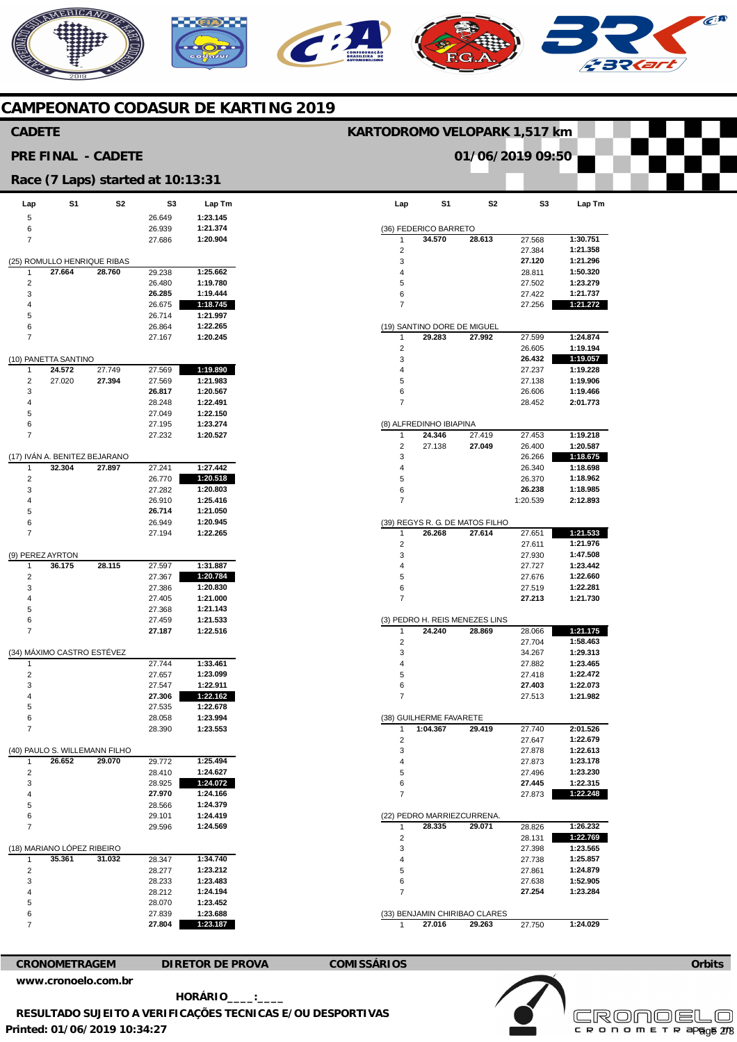# **AERICANO**  $\epsilon$ **A** Ci **22421**

## **CAMPEONATO CODASUR DE KARTING 2019**

| 01/06/2019 09:50<br><b>PRE FINAL - CADETE</b><br>Race (7 Laps) started at 10:13:31<br>S <sub>1</sub><br>S <sub>2</sub><br>S <sub>3</sub><br>S <sub>1</sub><br>S <sub>2</sub><br>S <sub>3</sub><br>Lap Tm<br>Lap Tm<br>Lap<br>Lap<br>1:23.145<br>5<br>26.649<br>6<br>1:21.374<br>26.939<br>(36) FEDERICO BARRETO<br>34.570<br>28.613<br>1:30.751<br>$\overline{7}$<br>1:20.904<br>27.568<br>27.686<br>$\mathbf{1}$<br>$\overline{c}$<br>27.384<br>1:21.358<br>(25) ROMULLO HENRIQUE RIBAS<br>3<br>27.120<br>1:21.296<br>1:25.662<br>27.664<br>28.760<br>29.238<br>1:50.320<br>$\mathbf{1}$<br>$\overline{4}$<br>28.811<br>$\overline{2}$<br>1:19.780<br>1:23.279<br>26.480<br>5<br>27.502<br>3<br>26.285<br>1:19.444<br>6<br>27.422<br>1:21.737<br>1:18.745<br>$\overline{7}$<br>1:21.272<br>26.675<br>27.256<br>4<br>5<br>26.714<br>1:21.997<br>1:22.265<br>6<br>26.864<br>(19) SANTINO DORE DE MIGUEL<br>$\overline{7}$<br>29.283<br>27.992<br>27.599<br>1:24.874<br>27.167<br>1:20.245<br>$\mathbf{1}$<br>$\overline{c}$<br>1:19.194<br>26.605<br>3<br>26.432<br>1:19.057<br>(10) PANETTA SANTINO<br>24.572<br>27.749<br>27.569<br>1:19.890<br>1:19.228<br>27.237<br>1<br>4<br>$\overline{2}$<br>27.020<br>27.394<br>27.569<br>1:21.983<br>5<br>27.138<br>1:19.906<br>3<br>26.817<br>1:20.567<br>6<br>26.606<br>1:19.466<br>1:22.491<br>$\overline{7}$<br>2:01.773<br>4<br>28.248<br>28.452<br>5<br>27.049<br>1:22.150<br>1:23.274<br>6<br>27.195<br>(8) ALFREDINHO IBIAPINA<br>$\overline{7}$<br>1:19.218<br>27.232<br>1:20.527<br>24.346<br>27.419<br>27.453<br>1<br>$\overline{c}$<br>27.138<br>27.049<br>26.400<br>1:20.587<br>(17) IVÁN A. BENITEZ BEJARANO<br>3<br>1:18.675<br>26.266<br>1:27.442<br>32.304<br>27.897<br>1:18.698<br>27.241<br>$\mathbf{1}$<br>26.340<br>$\overline{4}$<br>1:20.518<br>$\overline{2}$<br>26.770<br>5<br>1:18.962<br>26.370<br>3<br>27.282<br>1:20.803<br>26.238<br>1:18.985<br>6<br>26.910<br>$\overline{7}$<br>4<br>1:25.416<br>1:20.539<br>2:12.893<br>5<br>26.714<br>1:21.050<br>6<br>26.949<br>1:20.945<br>(39) REGYS R. G. DE MATOS FILHO<br>$\overline{7}$<br>1:21.533<br>1:22.265<br>26.268<br>27.614<br>27.651<br>27.194<br>$\mathbf{1}$<br>1:21.976<br>$\overline{2}$<br>27.611<br>3<br>(9) PEREZ AYRTON<br>27.930<br>1:47.508<br>36.175<br>28.115<br>1:31.887<br>27.597<br>1:23.442<br>27.727<br>1<br>4<br>$\overline{2}$<br>27.367<br>1:20.784<br>5<br>27.676<br>1:22.660<br>1:20.830<br>1:22.281<br>3<br>27.386<br>6<br>27.519<br>$\overline{7}$<br>1:21.000<br>27.213<br>1:21.730<br>4<br>27.405<br>1:21.143<br>5<br>27.368<br>6<br>1:21.533<br>27.459<br>(3) PEDRO H. REIS MENEZES LINS<br>$\overline{7}$<br>28.066<br>1:21.175<br>27.187<br>1:22.516<br>24.240<br>28.869<br>1:58.463<br>$\overline{c}$<br>27.704<br>(34) MÁXIMO CASTRO ESTÉVEZ<br>1:29.313<br>3<br>34.267<br>1:33.461<br>27.744<br>1:23.465<br>27.882<br>$\mathbf{1}$<br>4<br>$\overline{2}$<br>5<br>27.657<br>1:23.099<br>27.418<br>1:22.472<br>27.547<br>1:22.911<br>27.403<br>1:22.073<br>3<br>6<br>$\overline{7}$<br>4<br>27.306<br>1:22.162<br>27.513<br>1:21.982<br>27.535<br>5<br>1:22.678<br>28.058<br>1:23.994<br>6<br>(38) GUILHERME FAVARETE<br>1:23.553<br>1:04.367<br>2:01.526<br>$\overline{7}$<br>28.390<br>29.419<br>27.740<br>$\mathbf{1}$<br>1:22.679<br>$\overline{2}$<br>27.647<br>3<br>(40) PAULO S. WILLEMANN FILHO<br>27.878<br>1:22.613<br>29.772<br>1:25.494<br>26.652<br>29.070<br>$\overline{4}$<br>27.873<br>1:23.178<br>1<br>$\overline{\mathbf{c}}$<br>1:23.230<br>1:24.627<br>28.410<br>5<br>27.496<br>1:22.315<br>3<br>28.925<br>1:24.072<br>6<br>27.445<br>27.970<br>1:22.248<br>1:24.166<br>27.873<br>4<br>$\overline{7}$<br>28.566<br>1:24.379<br>5<br>6<br>29.101<br>1:24.419<br>(22) PEDRO MARRIEZCURRENA.<br>$\overline{7}$<br>28.826<br>1:26.232<br>29.596<br>1:24.569<br>28.335<br>29.071<br>1<br>1:22.769<br>$\overline{2}$<br>28.131<br>(18) MARIANO LÓPEZ RIBEIRO<br>3<br>1:23.565<br>27.398<br>35.361<br>31.032<br>1:34.740<br>1:25.857<br>28.347<br>27.738<br>1<br>4<br>$\overline{2}$<br>28.277<br>1:23.212<br>5<br>27.861<br>1:24.879<br>28.233<br>1:23.483<br>27.638<br>3<br>6<br>1:52.905<br>1:24.194<br>27.254<br>1:23.284<br>4<br>28.212<br>$\overline{7}$<br>5<br>28.070<br>1:23.452<br>1:23.688<br>27.839<br>(33) BENJAMIN CHIRIBAO CLARES<br>6<br>1:23.187<br>$\overline{7}$<br>27.804<br>27.016<br>29.263<br>1:24.029<br>27.750<br>-1<br><b>DIRETOR DE PROVA</b><br><b>CRONOMETRAGEM</b> | <b>CADETE</b> |  |  |  |  | KARTODROMO VELOPARK 1,517 km |  |  |  |  |
|------------------------------------------------------------------------------------------------------------------------------------------------------------------------------------------------------------------------------------------------------------------------------------------------------------------------------------------------------------------------------------------------------------------------------------------------------------------------------------------------------------------------------------------------------------------------------------------------------------------------------------------------------------------------------------------------------------------------------------------------------------------------------------------------------------------------------------------------------------------------------------------------------------------------------------------------------------------------------------------------------------------------------------------------------------------------------------------------------------------------------------------------------------------------------------------------------------------------------------------------------------------------------------------------------------------------------------------------------------------------------------------------------------------------------------------------------------------------------------------------------------------------------------------------------------------------------------------------------------------------------------------------------------------------------------------------------------------------------------------------------------------------------------------------------------------------------------------------------------------------------------------------------------------------------------------------------------------------------------------------------------------------------------------------------------------------------------------------------------------------------------------------------------------------------------------------------------------------------------------------------------------------------------------------------------------------------------------------------------------------------------------------------------------------------------------------------------------------------------------------------------------------------------------------------------------------------------------------------------------------------------------------------------------------------------------------------------------------------------------------------------------------------------------------------------------------------------------------------------------------------------------------------------------------------------------------------------------------------------------------------------------------------------------------------------------------------------------------------------------------------------------------------------------------------------------------------------------------------------------------------------------------------------------------------------------------------------------------------------------------------------------------------------------------------------------------------------------------------------------------------------------------------------------------------------------------------------------------------------------------------------------------------------------------------------------------------------------------------------------------------------------------------------------------------------------------------------------------------------------------------------------------------------------------------------------------------------------------------------------------------------------------------------------------------------------------------------------------------------------------------------------------------------------------------------------------------------------------------------------------------------------------------------------------------------------------------------------------------------------------------------------------------------------------------------------------------------------------|---------------|--|--|--|--|------------------------------|--|--|--|--|
|                                                                                                                                                                                                                                                                                                                                                                                                                                                                                                                                                                                                                                                                                                                                                                                                                                                                                                                                                                                                                                                                                                                                                                                                                                                                                                                                                                                                                                                                                                                                                                                                                                                                                                                                                                                                                                                                                                                                                                                                                                                                                                                                                                                                                                                                                                                                                                                                                                                                                                                                                                                                                                                                                                                                                                                                                                                                                                                                                                                                                                                                                                                                                                                                                                                                                                                                                                                                                                                                                                                                                                                                                                                                                                                                                                                                                                                                                                                                                                                                                                                                                                                                                                                                                                                                                                                                                                                                                                                                        |               |  |  |  |  |                              |  |  |  |  |
|                                                                                                                                                                                                                                                                                                                                                                                                                                                                                                                                                                                                                                                                                                                                                                                                                                                                                                                                                                                                                                                                                                                                                                                                                                                                                                                                                                                                                                                                                                                                                                                                                                                                                                                                                                                                                                                                                                                                                                                                                                                                                                                                                                                                                                                                                                                                                                                                                                                                                                                                                                                                                                                                                                                                                                                                                                                                                                                                                                                                                                                                                                                                                                                                                                                                                                                                                                                                                                                                                                                                                                                                                                                                                                                                                                                                                                                                                                                                                                                                                                                                                                                                                                                                                                                                                                                                                                                                                                                                        |               |  |  |  |  |                              |  |  |  |  |
|                                                                                                                                                                                                                                                                                                                                                                                                                                                                                                                                                                                                                                                                                                                                                                                                                                                                                                                                                                                                                                                                                                                                                                                                                                                                                                                                                                                                                                                                                                                                                                                                                                                                                                                                                                                                                                                                                                                                                                                                                                                                                                                                                                                                                                                                                                                                                                                                                                                                                                                                                                                                                                                                                                                                                                                                                                                                                                                                                                                                                                                                                                                                                                                                                                                                                                                                                                                                                                                                                                                                                                                                                                                                                                                                                                                                                                                                                                                                                                                                                                                                                                                                                                                                                                                                                                                                                                                                                                                                        |               |  |  |  |  |                              |  |  |  |  |
|                                                                                                                                                                                                                                                                                                                                                                                                                                                                                                                                                                                                                                                                                                                                                                                                                                                                                                                                                                                                                                                                                                                                                                                                                                                                                                                                                                                                                                                                                                                                                                                                                                                                                                                                                                                                                                                                                                                                                                                                                                                                                                                                                                                                                                                                                                                                                                                                                                                                                                                                                                                                                                                                                                                                                                                                                                                                                                                                                                                                                                                                                                                                                                                                                                                                                                                                                                                                                                                                                                                                                                                                                                                                                                                                                                                                                                                                                                                                                                                                                                                                                                                                                                                                                                                                                                                                                                                                                                                                        |               |  |  |  |  |                              |  |  |  |  |
|                                                                                                                                                                                                                                                                                                                                                                                                                                                                                                                                                                                                                                                                                                                                                                                                                                                                                                                                                                                                                                                                                                                                                                                                                                                                                                                                                                                                                                                                                                                                                                                                                                                                                                                                                                                                                                                                                                                                                                                                                                                                                                                                                                                                                                                                                                                                                                                                                                                                                                                                                                                                                                                                                                                                                                                                                                                                                                                                                                                                                                                                                                                                                                                                                                                                                                                                                                                                                                                                                                                                                                                                                                                                                                                                                                                                                                                                                                                                                                                                                                                                                                                                                                                                                                                                                                                                                                                                                                                                        |               |  |  |  |  |                              |  |  |  |  |
|                                                                                                                                                                                                                                                                                                                                                                                                                                                                                                                                                                                                                                                                                                                                                                                                                                                                                                                                                                                                                                                                                                                                                                                                                                                                                                                                                                                                                                                                                                                                                                                                                                                                                                                                                                                                                                                                                                                                                                                                                                                                                                                                                                                                                                                                                                                                                                                                                                                                                                                                                                                                                                                                                                                                                                                                                                                                                                                                                                                                                                                                                                                                                                                                                                                                                                                                                                                                                                                                                                                                                                                                                                                                                                                                                                                                                                                                                                                                                                                                                                                                                                                                                                                                                                                                                                                                                                                                                                                                        |               |  |  |  |  |                              |  |  |  |  |
|                                                                                                                                                                                                                                                                                                                                                                                                                                                                                                                                                                                                                                                                                                                                                                                                                                                                                                                                                                                                                                                                                                                                                                                                                                                                                                                                                                                                                                                                                                                                                                                                                                                                                                                                                                                                                                                                                                                                                                                                                                                                                                                                                                                                                                                                                                                                                                                                                                                                                                                                                                                                                                                                                                                                                                                                                                                                                                                                                                                                                                                                                                                                                                                                                                                                                                                                                                                                                                                                                                                                                                                                                                                                                                                                                                                                                                                                                                                                                                                                                                                                                                                                                                                                                                                                                                                                                                                                                                                                        |               |  |  |  |  |                              |  |  |  |  |
|                                                                                                                                                                                                                                                                                                                                                                                                                                                                                                                                                                                                                                                                                                                                                                                                                                                                                                                                                                                                                                                                                                                                                                                                                                                                                                                                                                                                                                                                                                                                                                                                                                                                                                                                                                                                                                                                                                                                                                                                                                                                                                                                                                                                                                                                                                                                                                                                                                                                                                                                                                                                                                                                                                                                                                                                                                                                                                                                                                                                                                                                                                                                                                                                                                                                                                                                                                                                                                                                                                                                                                                                                                                                                                                                                                                                                                                                                                                                                                                                                                                                                                                                                                                                                                                                                                                                                                                                                                                                        |               |  |  |  |  |                              |  |  |  |  |
|                                                                                                                                                                                                                                                                                                                                                                                                                                                                                                                                                                                                                                                                                                                                                                                                                                                                                                                                                                                                                                                                                                                                                                                                                                                                                                                                                                                                                                                                                                                                                                                                                                                                                                                                                                                                                                                                                                                                                                                                                                                                                                                                                                                                                                                                                                                                                                                                                                                                                                                                                                                                                                                                                                                                                                                                                                                                                                                                                                                                                                                                                                                                                                                                                                                                                                                                                                                                                                                                                                                                                                                                                                                                                                                                                                                                                                                                                                                                                                                                                                                                                                                                                                                                                                                                                                                                                                                                                                                                        |               |  |  |  |  |                              |  |  |  |  |
|                                                                                                                                                                                                                                                                                                                                                                                                                                                                                                                                                                                                                                                                                                                                                                                                                                                                                                                                                                                                                                                                                                                                                                                                                                                                                                                                                                                                                                                                                                                                                                                                                                                                                                                                                                                                                                                                                                                                                                                                                                                                                                                                                                                                                                                                                                                                                                                                                                                                                                                                                                                                                                                                                                                                                                                                                                                                                                                                                                                                                                                                                                                                                                                                                                                                                                                                                                                                                                                                                                                                                                                                                                                                                                                                                                                                                                                                                                                                                                                                                                                                                                                                                                                                                                                                                                                                                                                                                                                                        |               |  |  |  |  |                              |  |  |  |  |
|                                                                                                                                                                                                                                                                                                                                                                                                                                                                                                                                                                                                                                                                                                                                                                                                                                                                                                                                                                                                                                                                                                                                                                                                                                                                                                                                                                                                                                                                                                                                                                                                                                                                                                                                                                                                                                                                                                                                                                                                                                                                                                                                                                                                                                                                                                                                                                                                                                                                                                                                                                                                                                                                                                                                                                                                                                                                                                                                                                                                                                                                                                                                                                                                                                                                                                                                                                                                                                                                                                                                                                                                                                                                                                                                                                                                                                                                                                                                                                                                                                                                                                                                                                                                                                                                                                                                                                                                                                                                        |               |  |  |  |  |                              |  |  |  |  |
|                                                                                                                                                                                                                                                                                                                                                                                                                                                                                                                                                                                                                                                                                                                                                                                                                                                                                                                                                                                                                                                                                                                                                                                                                                                                                                                                                                                                                                                                                                                                                                                                                                                                                                                                                                                                                                                                                                                                                                                                                                                                                                                                                                                                                                                                                                                                                                                                                                                                                                                                                                                                                                                                                                                                                                                                                                                                                                                                                                                                                                                                                                                                                                                                                                                                                                                                                                                                                                                                                                                                                                                                                                                                                                                                                                                                                                                                                                                                                                                                                                                                                                                                                                                                                                                                                                                                                                                                                                                                        |               |  |  |  |  |                              |  |  |  |  |
|                                                                                                                                                                                                                                                                                                                                                                                                                                                                                                                                                                                                                                                                                                                                                                                                                                                                                                                                                                                                                                                                                                                                                                                                                                                                                                                                                                                                                                                                                                                                                                                                                                                                                                                                                                                                                                                                                                                                                                                                                                                                                                                                                                                                                                                                                                                                                                                                                                                                                                                                                                                                                                                                                                                                                                                                                                                                                                                                                                                                                                                                                                                                                                                                                                                                                                                                                                                                                                                                                                                                                                                                                                                                                                                                                                                                                                                                                                                                                                                                                                                                                                                                                                                                                                                                                                                                                                                                                                                                        |               |  |  |  |  |                              |  |  |  |  |
|                                                                                                                                                                                                                                                                                                                                                                                                                                                                                                                                                                                                                                                                                                                                                                                                                                                                                                                                                                                                                                                                                                                                                                                                                                                                                                                                                                                                                                                                                                                                                                                                                                                                                                                                                                                                                                                                                                                                                                                                                                                                                                                                                                                                                                                                                                                                                                                                                                                                                                                                                                                                                                                                                                                                                                                                                                                                                                                                                                                                                                                                                                                                                                                                                                                                                                                                                                                                                                                                                                                                                                                                                                                                                                                                                                                                                                                                                                                                                                                                                                                                                                                                                                                                                                                                                                                                                                                                                                                                        |               |  |  |  |  |                              |  |  |  |  |
|                                                                                                                                                                                                                                                                                                                                                                                                                                                                                                                                                                                                                                                                                                                                                                                                                                                                                                                                                                                                                                                                                                                                                                                                                                                                                                                                                                                                                                                                                                                                                                                                                                                                                                                                                                                                                                                                                                                                                                                                                                                                                                                                                                                                                                                                                                                                                                                                                                                                                                                                                                                                                                                                                                                                                                                                                                                                                                                                                                                                                                                                                                                                                                                                                                                                                                                                                                                                                                                                                                                                                                                                                                                                                                                                                                                                                                                                                                                                                                                                                                                                                                                                                                                                                                                                                                                                                                                                                                                                        |               |  |  |  |  |                              |  |  |  |  |
|                                                                                                                                                                                                                                                                                                                                                                                                                                                                                                                                                                                                                                                                                                                                                                                                                                                                                                                                                                                                                                                                                                                                                                                                                                                                                                                                                                                                                                                                                                                                                                                                                                                                                                                                                                                                                                                                                                                                                                                                                                                                                                                                                                                                                                                                                                                                                                                                                                                                                                                                                                                                                                                                                                                                                                                                                                                                                                                                                                                                                                                                                                                                                                                                                                                                                                                                                                                                                                                                                                                                                                                                                                                                                                                                                                                                                                                                                                                                                                                                                                                                                                                                                                                                                                                                                                                                                                                                                                                                        |               |  |  |  |  |                              |  |  |  |  |
|                                                                                                                                                                                                                                                                                                                                                                                                                                                                                                                                                                                                                                                                                                                                                                                                                                                                                                                                                                                                                                                                                                                                                                                                                                                                                                                                                                                                                                                                                                                                                                                                                                                                                                                                                                                                                                                                                                                                                                                                                                                                                                                                                                                                                                                                                                                                                                                                                                                                                                                                                                                                                                                                                                                                                                                                                                                                                                                                                                                                                                                                                                                                                                                                                                                                                                                                                                                                                                                                                                                                                                                                                                                                                                                                                                                                                                                                                                                                                                                                                                                                                                                                                                                                                                                                                                                                                                                                                                                                        |               |  |  |  |  |                              |  |  |  |  |
|                                                                                                                                                                                                                                                                                                                                                                                                                                                                                                                                                                                                                                                                                                                                                                                                                                                                                                                                                                                                                                                                                                                                                                                                                                                                                                                                                                                                                                                                                                                                                                                                                                                                                                                                                                                                                                                                                                                                                                                                                                                                                                                                                                                                                                                                                                                                                                                                                                                                                                                                                                                                                                                                                                                                                                                                                                                                                                                                                                                                                                                                                                                                                                                                                                                                                                                                                                                                                                                                                                                                                                                                                                                                                                                                                                                                                                                                                                                                                                                                                                                                                                                                                                                                                                                                                                                                                                                                                                                                        |               |  |  |  |  |                              |  |  |  |  |
|                                                                                                                                                                                                                                                                                                                                                                                                                                                                                                                                                                                                                                                                                                                                                                                                                                                                                                                                                                                                                                                                                                                                                                                                                                                                                                                                                                                                                                                                                                                                                                                                                                                                                                                                                                                                                                                                                                                                                                                                                                                                                                                                                                                                                                                                                                                                                                                                                                                                                                                                                                                                                                                                                                                                                                                                                                                                                                                                                                                                                                                                                                                                                                                                                                                                                                                                                                                                                                                                                                                                                                                                                                                                                                                                                                                                                                                                                                                                                                                                                                                                                                                                                                                                                                                                                                                                                                                                                                                                        |               |  |  |  |  |                              |  |  |  |  |
|                                                                                                                                                                                                                                                                                                                                                                                                                                                                                                                                                                                                                                                                                                                                                                                                                                                                                                                                                                                                                                                                                                                                                                                                                                                                                                                                                                                                                                                                                                                                                                                                                                                                                                                                                                                                                                                                                                                                                                                                                                                                                                                                                                                                                                                                                                                                                                                                                                                                                                                                                                                                                                                                                                                                                                                                                                                                                                                                                                                                                                                                                                                                                                                                                                                                                                                                                                                                                                                                                                                                                                                                                                                                                                                                                                                                                                                                                                                                                                                                                                                                                                                                                                                                                                                                                                                                                                                                                                                                        |               |  |  |  |  |                              |  |  |  |  |
|                                                                                                                                                                                                                                                                                                                                                                                                                                                                                                                                                                                                                                                                                                                                                                                                                                                                                                                                                                                                                                                                                                                                                                                                                                                                                                                                                                                                                                                                                                                                                                                                                                                                                                                                                                                                                                                                                                                                                                                                                                                                                                                                                                                                                                                                                                                                                                                                                                                                                                                                                                                                                                                                                                                                                                                                                                                                                                                                                                                                                                                                                                                                                                                                                                                                                                                                                                                                                                                                                                                                                                                                                                                                                                                                                                                                                                                                                                                                                                                                                                                                                                                                                                                                                                                                                                                                                                                                                                                                        |               |  |  |  |  |                              |  |  |  |  |
|                                                                                                                                                                                                                                                                                                                                                                                                                                                                                                                                                                                                                                                                                                                                                                                                                                                                                                                                                                                                                                                                                                                                                                                                                                                                                                                                                                                                                                                                                                                                                                                                                                                                                                                                                                                                                                                                                                                                                                                                                                                                                                                                                                                                                                                                                                                                                                                                                                                                                                                                                                                                                                                                                                                                                                                                                                                                                                                                                                                                                                                                                                                                                                                                                                                                                                                                                                                                                                                                                                                                                                                                                                                                                                                                                                                                                                                                                                                                                                                                                                                                                                                                                                                                                                                                                                                                                                                                                                                                        |               |  |  |  |  |                              |  |  |  |  |
|                                                                                                                                                                                                                                                                                                                                                                                                                                                                                                                                                                                                                                                                                                                                                                                                                                                                                                                                                                                                                                                                                                                                                                                                                                                                                                                                                                                                                                                                                                                                                                                                                                                                                                                                                                                                                                                                                                                                                                                                                                                                                                                                                                                                                                                                                                                                                                                                                                                                                                                                                                                                                                                                                                                                                                                                                                                                                                                                                                                                                                                                                                                                                                                                                                                                                                                                                                                                                                                                                                                                                                                                                                                                                                                                                                                                                                                                                                                                                                                                                                                                                                                                                                                                                                                                                                                                                                                                                                                                        |               |  |  |  |  |                              |  |  |  |  |
|                                                                                                                                                                                                                                                                                                                                                                                                                                                                                                                                                                                                                                                                                                                                                                                                                                                                                                                                                                                                                                                                                                                                                                                                                                                                                                                                                                                                                                                                                                                                                                                                                                                                                                                                                                                                                                                                                                                                                                                                                                                                                                                                                                                                                                                                                                                                                                                                                                                                                                                                                                                                                                                                                                                                                                                                                                                                                                                                                                                                                                                                                                                                                                                                                                                                                                                                                                                                                                                                                                                                                                                                                                                                                                                                                                                                                                                                                                                                                                                                                                                                                                                                                                                                                                                                                                                                                                                                                                                                        |               |  |  |  |  |                              |  |  |  |  |
|                                                                                                                                                                                                                                                                                                                                                                                                                                                                                                                                                                                                                                                                                                                                                                                                                                                                                                                                                                                                                                                                                                                                                                                                                                                                                                                                                                                                                                                                                                                                                                                                                                                                                                                                                                                                                                                                                                                                                                                                                                                                                                                                                                                                                                                                                                                                                                                                                                                                                                                                                                                                                                                                                                                                                                                                                                                                                                                                                                                                                                                                                                                                                                                                                                                                                                                                                                                                                                                                                                                                                                                                                                                                                                                                                                                                                                                                                                                                                                                                                                                                                                                                                                                                                                                                                                                                                                                                                                                                        |               |  |  |  |  |                              |  |  |  |  |
|                                                                                                                                                                                                                                                                                                                                                                                                                                                                                                                                                                                                                                                                                                                                                                                                                                                                                                                                                                                                                                                                                                                                                                                                                                                                                                                                                                                                                                                                                                                                                                                                                                                                                                                                                                                                                                                                                                                                                                                                                                                                                                                                                                                                                                                                                                                                                                                                                                                                                                                                                                                                                                                                                                                                                                                                                                                                                                                                                                                                                                                                                                                                                                                                                                                                                                                                                                                                                                                                                                                                                                                                                                                                                                                                                                                                                                                                                                                                                                                                                                                                                                                                                                                                                                                                                                                                                                                                                                                                        |               |  |  |  |  |                              |  |  |  |  |
|                                                                                                                                                                                                                                                                                                                                                                                                                                                                                                                                                                                                                                                                                                                                                                                                                                                                                                                                                                                                                                                                                                                                                                                                                                                                                                                                                                                                                                                                                                                                                                                                                                                                                                                                                                                                                                                                                                                                                                                                                                                                                                                                                                                                                                                                                                                                                                                                                                                                                                                                                                                                                                                                                                                                                                                                                                                                                                                                                                                                                                                                                                                                                                                                                                                                                                                                                                                                                                                                                                                                                                                                                                                                                                                                                                                                                                                                                                                                                                                                                                                                                                                                                                                                                                                                                                                                                                                                                                                                        |               |  |  |  |  |                              |  |  |  |  |
|                                                                                                                                                                                                                                                                                                                                                                                                                                                                                                                                                                                                                                                                                                                                                                                                                                                                                                                                                                                                                                                                                                                                                                                                                                                                                                                                                                                                                                                                                                                                                                                                                                                                                                                                                                                                                                                                                                                                                                                                                                                                                                                                                                                                                                                                                                                                                                                                                                                                                                                                                                                                                                                                                                                                                                                                                                                                                                                                                                                                                                                                                                                                                                                                                                                                                                                                                                                                                                                                                                                                                                                                                                                                                                                                                                                                                                                                                                                                                                                                                                                                                                                                                                                                                                                                                                                                                                                                                                                                        |               |  |  |  |  |                              |  |  |  |  |
|                                                                                                                                                                                                                                                                                                                                                                                                                                                                                                                                                                                                                                                                                                                                                                                                                                                                                                                                                                                                                                                                                                                                                                                                                                                                                                                                                                                                                                                                                                                                                                                                                                                                                                                                                                                                                                                                                                                                                                                                                                                                                                                                                                                                                                                                                                                                                                                                                                                                                                                                                                                                                                                                                                                                                                                                                                                                                                                                                                                                                                                                                                                                                                                                                                                                                                                                                                                                                                                                                                                                                                                                                                                                                                                                                                                                                                                                                                                                                                                                                                                                                                                                                                                                                                                                                                                                                                                                                                                                        |               |  |  |  |  |                              |  |  |  |  |
|                                                                                                                                                                                                                                                                                                                                                                                                                                                                                                                                                                                                                                                                                                                                                                                                                                                                                                                                                                                                                                                                                                                                                                                                                                                                                                                                                                                                                                                                                                                                                                                                                                                                                                                                                                                                                                                                                                                                                                                                                                                                                                                                                                                                                                                                                                                                                                                                                                                                                                                                                                                                                                                                                                                                                                                                                                                                                                                                                                                                                                                                                                                                                                                                                                                                                                                                                                                                                                                                                                                                                                                                                                                                                                                                                                                                                                                                                                                                                                                                                                                                                                                                                                                                                                                                                                                                                                                                                                                                        |               |  |  |  |  |                              |  |  |  |  |
|                                                                                                                                                                                                                                                                                                                                                                                                                                                                                                                                                                                                                                                                                                                                                                                                                                                                                                                                                                                                                                                                                                                                                                                                                                                                                                                                                                                                                                                                                                                                                                                                                                                                                                                                                                                                                                                                                                                                                                                                                                                                                                                                                                                                                                                                                                                                                                                                                                                                                                                                                                                                                                                                                                                                                                                                                                                                                                                                                                                                                                                                                                                                                                                                                                                                                                                                                                                                                                                                                                                                                                                                                                                                                                                                                                                                                                                                                                                                                                                                                                                                                                                                                                                                                                                                                                                                                                                                                                                                        |               |  |  |  |  |                              |  |  |  |  |
|                                                                                                                                                                                                                                                                                                                                                                                                                                                                                                                                                                                                                                                                                                                                                                                                                                                                                                                                                                                                                                                                                                                                                                                                                                                                                                                                                                                                                                                                                                                                                                                                                                                                                                                                                                                                                                                                                                                                                                                                                                                                                                                                                                                                                                                                                                                                                                                                                                                                                                                                                                                                                                                                                                                                                                                                                                                                                                                                                                                                                                                                                                                                                                                                                                                                                                                                                                                                                                                                                                                                                                                                                                                                                                                                                                                                                                                                                                                                                                                                                                                                                                                                                                                                                                                                                                                                                                                                                                                                        |               |  |  |  |  |                              |  |  |  |  |
|                                                                                                                                                                                                                                                                                                                                                                                                                                                                                                                                                                                                                                                                                                                                                                                                                                                                                                                                                                                                                                                                                                                                                                                                                                                                                                                                                                                                                                                                                                                                                                                                                                                                                                                                                                                                                                                                                                                                                                                                                                                                                                                                                                                                                                                                                                                                                                                                                                                                                                                                                                                                                                                                                                                                                                                                                                                                                                                                                                                                                                                                                                                                                                                                                                                                                                                                                                                                                                                                                                                                                                                                                                                                                                                                                                                                                                                                                                                                                                                                                                                                                                                                                                                                                                                                                                                                                                                                                                                                        |               |  |  |  |  |                              |  |  |  |  |
|                                                                                                                                                                                                                                                                                                                                                                                                                                                                                                                                                                                                                                                                                                                                                                                                                                                                                                                                                                                                                                                                                                                                                                                                                                                                                                                                                                                                                                                                                                                                                                                                                                                                                                                                                                                                                                                                                                                                                                                                                                                                                                                                                                                                                                                                                                                                                                                                                                                                                                                                                                                                                                                                                                                                                                                                                                                                                                                                                                                                                                                                                                                                                                                                                                                                                                                                                                                                                                                                                                                                                                                                                                                                                                                                                                                                                                                                                                                                                                                                                                                                                                                                                                                                                                                                                                                                                                                                                                                                        |               |  |  |  |  |                              |  |  |  |  |
|                                                                                                                                                                                                                                                                                                                                                                                                                                                                                                                                                                                                                                                                                                                                                                                                                                                                                                                                                                                                                                                                                                                                                                                                                                                                                                                                                                                                                                                                                                                                                                                                                                                                                                                                                                                                                                                                                                                                                                                                                                                                                                                                                                                                                                                                                                                                                                                                                                                                                                                                                                                                                                                                                                                                                                                                                                                                                                                                                                                                                                                                                                                                                                                                                                                                                                                                                                                                                                                                                                                                                                                                                                                                                                                                                                                                                                                                                                                                                                                                                                                                                                                                                                                                                                                                                                                                                                                                                                                                        |               |  |  |  |  |                              |  |  |  |  |
|                                                                                                                                                                                                                                                                                                                                                                                                                                                                                                                                                                                                                                                                                                                                                                                                                                                                                                                                                                                                                                                                                                                                                                                                                                                                                                                                                                                                                                                                                                                                                                                                                                                                                                                                                                                                                                                                                                                                                                                                                                                                                                                                                                                                                                                                                                                                                                                                                                                                                                                                                                                                                                                                                                                                                                                                                                                                                                                                                                                                                                                                                                                                                                                                                                                                                                                                                                                                                                                                                                                                                                                                                                                                                                                                                                                                                                                                                                                                                                                                                                                                                                                                                                                                                                                                                                                                                                                                                                                                        |               |  |  |  |  |                              |  |  |  |  |
|                                                                                                                                                                                                                                                                                                                                                                                                                                                                                                                                                                                                                                                                                                                                                                                                                                                                                                                                                                                                                                                                                                                                                                                                                                                                                                                                                                                                                                                                                                                                                                                                                                                                                                                                                                                                                                                                                                                                                                                                                                                                                                                                                                                                                                                                                                                                                                                                                                                                                                                                                                                                                                                                                                                                                                                                                                                                                                                                                                                                                                                                                                                                                                                                                                                                                                                                                                                                                                                                                                                                                                                                                                                                                                                                                                                                                                                                                                                                                                                                                                                                                                                                                                                                                                                                                                                                                                                                                                                                        |               |  |  |  |  |                              |  |  |  |  |
|                                                                                                                                                                                                                                                                                                                                                                                                                                                                                                                                                                                                                                                                                                                                                                                                                                                                                                                                                                                                                                                                                                                                                                                                                                                                                                                                                                                                                                                                                                                                                                                                                                                                                                                                                                                                                                                                                                                                                                                                                                                                                                                                                                                                                                                                                                                                                                                                                                                                                                                                                                                                                                                                                                                                                                                                                                                                                                                                                                                                                                                                                                                                                                                                                                                                                                                                                                                                                                                                                                                                                                                                                                                                                                                                                                                                                                                                                                                                                                                                                                                                                                                                                                                                                                                                                                                                                                                                                                                                        |               |  |  |  |  |                              |  |  |  |  |
|                                                                                                                                                                                                                                                                                                                                                                                                                                                                                                                                                                                                                                                                                                                                                                                                                                                                                                                                                                                                                                                                                                                                                                                                                                                                                                                                                                                                                                                                                                                                                                                                                                                                                                                                                                                                                                                                                                                                                                                                                                                                                                                                                                                                                                                                                                                                                                                                                                                                                                                                                                                                                                                                                                                                                                                                                                                                                                                                                                                                                                                                                                                                                                                                                                                                                                                                                                                                                                                                                                                                                                                                                                                                                                                                                                                                                                                                                                                                                                                                                                                                                                                                                                                                                                                                                                                                                                                                                                                                        |               |  |  |  |  |                              |  |  |  |  |
|                                                                                                                                                                                                                                                                                                                                                                                                                                                                                                                                                                                                                                                                                                                                                                                                                                                                                                                                                                                                                                                                                                                                                                                                                                                                                                                                                                                                                                                                                                                                                                                                                                                                                                                                                                                                                                                                                                                                                                                                                                                                                                                                                                                                                                                                                                                                                                                                                                                                                                                                                                                                                                                                                                                                                                                                                                                                                                                                                                                                                                                                                                                                                                                                                                                                                                                                                                                                                                                                                                                                                                                                                                                                                                                                                                                                                                                                                                                                                                                                                                                                                                                                                                                                                                                                                                                                                                                                                                                                        |               |  |  |  |  |                              |  |  |  |  |
|                                                                                                                                                                                                                                                                                                                                                                                                                                                                                                                                                                                                                                                                                                                                                                                                                                                                                                                                                                                                                                                                                                                                                                                                                                                                                                                                                                                                                                                                                                                                                                                                                                                                                                                                                                                                                                                                                                                                                                                                                                                                                                                                                                                                                                                                                                                                                                                                                                                                                                                                                                                                                                                                                                                                                                                                                                                                                                                                                                                                                                                                                                                                                                                                                                                                                                                                                                                                                                                                                                                                                                                                                                                                                                                                                                                                                                                                                                                                                                                                                                                                                                                                                                                                                                                                                                                                                                                                                                                                        |               |  |  |  |  |                              |  |  |  |  |
|                                                                                                                                                                                                                                                                                                                                                                                                                                                                                                                                                                                                                                                                                                                                                                                                                                                                                                                                                                                                                                                                                                                                                                                                                                                                                                                                                                                                                                                                                                                                                                                                                                                                                                                                                                                                                                                                                                                                                                                                                                                                                                                                                                                                                                                                                                                                                                                                                                                                                                                                                                                                                                                                                                                                                                                                                                                                                                                                                                                                                                                                                                                                                                                                                                                                                                                                                                                                                                                                                                                                                                                                                                                                                                                                                                                                                                                                                                                                                                                                                                                                                                                                                                                                                                                                                                                                                                                                                                                                        |               |  |  |  |  |                              |  |  |  |  |
|                                                                                                                                                                                                                                                                                                                                                                                                                                                                                                                                                                                                                                                                                                                                                                                                                                                                                                                                                                                                                                                                                                                                                                                                                                                                                                                                                                                                                                                                                                                                                                                                                                                                                                                                                                                                                                                                                                                                                                                                                                                                                                                                                                                                                                                                                                                                                                                                                                                                                                                                                                                                                                                                                                                                                                                                                                                                                                                                                                                                                                                                                                                                                                                                                                                                                                                                                                                                                                                                                                                                                                                                                                                                                                                                                                                                                                                                                                                                                                                                                                                                                                                                                                                                                                                                                                                                                                                                                                                                        |               |  |  |  |  |                              |  |  |  |  |
|                                                                                                                                                                                                                                                                                                                                                                                                                                                                                                                                                                                                                                                                                                                                                                                                                                                                                                                                                                                                                                                                                                                                                                                                                                                                                                                                                                                                                                                                                                                                                                                                                                                                                                                                                                                                                                                                                                                                                                                                                                                                                                                                                                                                                                                                                                                                                                                                                                                                                                                                                                                                                                                                                                                                                                                                                                                                                                                                                                                                                                                                                                                                                                                                                                                                                                                                                                                                                                                                                                                                                                                                                                                                                                                                                                                                                                                                                                                                                                                                                                                                                                                                                                                                                                                                                                                                                                                                                                                                        |               |  |  |  |  |                              |  |  |  |  |
|                                                                                                                                                                                                                                                                                                                                                                                                                                                                                                                                                                                                                                                                                                                                                                                                                                                                                                                                                                                                                                                                                                                                                                                                                                                                                                                                                                                                                                                                                                                                                                                                                                                                                                                                                                                                                                                                                                                                                                                                                                                                                                                                                                                                                                                                                                                                                                                                                                                                                                                                                                                                                                                                                                                                                                                                                                                                                                                                                                                                                                                                                                                                                                                                                                                                                                                                                                                                                                                                                                                                                                                                                                                                                                                                                                                                                                                                                                                                                                                                                                                                                                                                                                                                                                                                                                                                                                                                                                                                        |               |  |  |  |  |                              |  |  |  |  |
|                                                                                                                                                                                                                                                                                                                                                                                                                                                                                                                                                                                                                                                                                                                                                                                                                                                                                                                                                                                                                                                                                                                                                                                                                                                                                                                                                                                                                                                                                                                                                                                                                                                                                                                                                                                                                                                                                                                                                                                                                                                                                                                                                                                                                                                                                                                                                                                                                                                                                                                                                                                                                                                                                                                                                                                                                                                                                                                                                                                                                                                                                                                                                                                                                                                                                                                                                                                                                                                                                                                                                                                                                                                                                                                                                                                                                                                                                                                                                                                                                                                                                                                                                                                                                                                                                                                                                                                                                                                                        |               |  |  |  |  |                              |  |  |  |  |
|                                                                                                                                                                                                                                                                                                                                                                                                                                                                                                                                                                                                                                                                                                                                                                                                                                                                                                                                                                                                                                                                                                                                                                                                                                                                                                                                                                                                                                                                                                                                                                                                                                                                                                                                                                                                                                                                                                                                                                                                                                                                                                                                                                                                                                                                                                                                                                                                                                                                                                                                                                                                                                                                                                                                                                                                                                                                                                                                                                                                                                                                                                                                                                                                                                                                                                                                                                                                                                                                                                                                                                                                                                                                                                                                                                                                                                                                                                                                                                                                                                                                                                                                                                                                                                                                                                                                                                                                                                                                        |               |  |  |  |  |                              |  |  |  |  |
|                                                                                                                                                                                                                                                                                                                                                                                                                                                                                                                                                                                                                                                                                                                                                                                                                                                                                                                                                                                                                                                                                                                                                                                                                                                                                                                                                                                                                                                                                                                                                                                                                                                                                                                                                                                                                                                                                                                                                                                                                                                                                                                                                                                                                                                                                                                                                                                                                                                                                                                                                                                                                                                                                                                                                                                                                                                                                                                                                                                                                                                                                                                                                                                                                                                                                                                                                                                                                                                                                                                                                                                                                                                                                                                                                                                                                                                                                                                                                                                                                                                                                                                                                                                                                                                                                                                                                                                                                                                                        |               |  |  |  |  |                              |  |  |  |  |
|                                                                                                                                                                                                                                                                                                                                                                                                                                                                                                                                                                                                                                                                                                                                                                                                                                                                                                                                                                                                                                                                                                                                                                                                                                                                                                                                                                                                                                                                                                                                                                                                                                                                                                                                                                                                                                                                                                                                                                                                                                                                                                                                                                                                                                                                                                                                                                                                                                                                                                                                                                                                                                                                                                                                                                                                                                                                                                                                                                                                                                                                                                                                                                                                                                                                                                                                                                                                                                                                                                                                                                                                                                                                                                                                                                                                                                                                                                                                                                                                                                                                                                                                                                                                                                                                                                                                                                                                                                                                        |               |  |  |  |  |                              |  |  |  |  |
|                                                                                                                                                                                                                                                                                                                                                                                                                                                                                                                                                                                                                                                                                                                                                                                                                                                                                                                                                                                                                                                                                                                                                                                                                                                                                                                                                                                                                                                                                                                                                                                                                                                                                                                                                                                                                                                                                                                                                                                                                                                                                                                                                                                                                                                                                                                                                                                                                                                                                                                                                                                                                                                                                                                                                                                                                                                                                                                                                                                                                                                                                                                                                                                                                                                                                                                                                                                                                                                                                                                                                                                                                                                                                                                                                                                                                                                                                                                                                                                                                                                                                                                                                                                                                                                                                                                                                                                                                                                                        |               |  |  |  |  |                              |  |  |  |  |
|                                                                                                                                                                                                                                                                                                                                                                                                                                                                                                                                                                                                                                                                                                                                                                                                                                                                                                                                                                                                                                                                                                                                                                                                                                                                                                                                                                                                                                                                                                                                                                                                                                                                                                                                                                                                                                                                                                                                                                                                                                                                                                                                                                                                                                                                                                                                                                                                                                                                                                                                                                                                                                                                                                                                                                                                                                                                                                                                                                                                                                                                                                                                                                                                                                                                                                                                                                                                                                                                                                                                                                                                                                                                                                                                                                                                                                                                                                                                                                                                                                                                                                                                                                                                                                                                                                                                                                                                                                                                        |               |  |  |  |  |                              |  |  |  |  |
|                                                                                                                                                                                                                                                                                                                                                                                                                                                                                                                                                                                                                                                                                                                                                                                                                                                                                                                                                                                                                                                                                                                                                                                                                                                                                                                                                                                                                                                                                                                                                                                                                                                                                                                                                                                                                                                                                                                                                                                                                                                                                                                                                                                                                                                                                                                                                                                                                                                                                                                                                                                                                                                                                                                                                                                                                                                                                                                                                                                                                                                                                                                                                                                                                                                                                                                                                                                                                                                                                                                                                                                                                                                                                                                                                                                                                                                                                                                                                                                                                                                                                                                                                                                                                                                                                                                                                                                                                                                                        |               |  |  |  |  |                              |  |  |  |  |
|                                                                                                                                                                                                                                                                                                                                                                                                                                                                                                                                                                                                                                                                                                                                                                                                                                                                                                                                                                                                                                                                                                                                                                                                                                                                                                                                                                                                                                                                                                                                                                                                                                                                                                                                                                                                                                                                                                                                                                                                                                                                                                                                                                                                                                                                                                                                                                                                                                                                                                                                                                                                                                                                                                                                                                                                                                                                                                                                                                                                                                                                                                                                                                                                                                                                                                                                                                                                                                                                                                                                                                                                                                                                                                                                                                                                                                                                                                                                                                                                                                                                                                                                                                                                                                                                                                                                                                                                                                                                        |               |  |  |  |  |                              |  |  |  |  |
|                                                                                                                                                                                                                                                                                                                                                                                                                                                                                                                                                                                                                                                                                                                                                                                                                                                                                                                                                                                                                                                                                                                                                                                                                                                                                                                                                                                                                                                                                                                                                                                                                                                                                                                                                                                                                                                                                                                                                                                                                                                                                                                                                                                                                                                                                                                                                                                                                                                                                                                                                                                                                                                                                                                                                                                                                                                                                                                                                                                                                                                                                                                                                                                                                                                                                                                                                                                                                                                                                                                                                                                                                                                                                                                                                                                                                                                                                                                                                                                                                                                                                                                                                                                                                                                                                                                                                                                                                                                                        |               |  |  |  |  |                              |  |  |  |  |
|                                                                                                                                                                                                                                                                                                                                                                                                                                                                                                                                                                                                                                                                                                                                                                                                                                                                                                                                                                                                                                                                                                                                                                                                                                                                                                                                                                                                                                                                                                                                                                                                                                                                                                                                                                                                                                                                                                                                                                                                                                                                                                                                                                                                                                                                                                                                                                                                                                                                                                                                                                                                                                                                                                                                                                                                                                                                                                                                                                                                                                                                                                                                                                                                                                                                                                                                                                                                                                                                                                                                                                                                                                                                                                                                                                                                                                                                                                                                                                                                                                                                                                                                                                                                                                                                                                                                                                                                                                                                        |               |  |  |  |  |                              |  |  |  |  |
|                                                                                                                                                                                                                                                                                                                                                                                                                                                                                                                                                                                                                                                                                                                                                                                                                                                                                                                                                                                                                                                                                                                                                                                                                                                                                                                                                                                                                                                                                                                                                                                                                                                                                                                                                                                                                                                                                                                                                                                                                                                                                                                                                                                                                                                                                                                                                                                                                                                                                                                                                                                                                                                                                                                                                                                                                                                                                                                                                                                                                                                                                                                                                                                                                                                                                                                                                                                                                                                                                                                                                                                                                                                                                                                                                                                                                                                                                                                                                                                                                                                                                                                                                                                                                                                                                                                                                                                                                                                                        |               |  |  |  |  |                              |  |  |  |  |
|                                                                                                                                                                                                                                                                                                                                                                                                                                                                                                                                                                                                                                                                                                                                                                                                                                                                                                                                                                                                                                                                                                                                                                                                                                                                                                                                                                                                                                                                                                                                                                                                                                                                                                                                                                                                                                                                                                                                                                                                                                                                                                                                                                                                                                                                                                                                                                                                                                                                                                                                                                                                                                                                                                                                                                                                                                                                                                                                                                                                                                                                                                                                                                                                                                                                                                                                                                                                                                                                                                                                                                                                                                                                                                                                                                                                                                                                                                                                                                                                                                                                                                                                                                                                                                                                                                                                                                                                                                                                        |               |  |  |  |  |                              |  |  |  |  |
|                                                                                                                                                                                                                                                                                                                                                                                                                                                                                                                                                                                                                                                                                                                                                                                                                                                                                                                                                                                                                                                                                                                                                                                                                                                                                                                                                                                                                                                                                                                                                                                                                                                                                                                                                                                                                                                                                                                                                                                                                                                                                                                                                                                                                                                                                                                                                                                                                                                                                                                                                                                                                                                                                                                                                                                                                                                                                                                                                                                                                                                                                                                                                                                                                                                                                                                                                                                                                                                                                                                                                                                                                                                                                                                                                                                                                                                                                                                                                                                                                                                                                                                                                                                                                                                                                                                                                                                                                                                                        |               |  |  |  |  |                              |  |  |  |  |
|                                                                                                                                                                                                                                                                                                                                                                                                                                                                                                                                                                                                                                                                                                                                                                                                                                                                                                                                                                                                                                                                                                                                                                                                                                                                                                                                                                                                                                                                                                                                                                                                                                                                                                                                                                                                                                                                                                                                                                                                                                                                                                                                                                                                                                                                                                                                                                                                                                                                                                                                                                                                                                                                                                                                                                                                                                                                                                                                                                                                                                                                                                                                                                                                                                                                                                                                                                                                                                                                                                                                                                                                                                                                                                                                                                                                                                                                                                                                                                                                                                                                                                                                                                                                                                                                                                                                                                                                                                                                        |               |  |  |  |  |                              |  |  |  |  |
|                                                                                                                                                                                                                                                                                                                                                                                                                                                                                                                                                                                                                                                                                                                                                                                                                                                                                                                                                                                                                                                                                                                                                                                                                                                                                                                                                                                                                                                                                                                                                                                                                                                                                                                                                                                                                                                                                                                                                                                                                                                                                                                                                                                                                                                                                                                                                                                                                                                                                                                                                                                                                                                                                                                                                                                                                                                                                                                                                                                                                                                                                                                                                                                                                                                                                                                                                                                                                                                                                                                                                                                                                                                                                                                                                                                                                                                                                                                                                                                                                                                                                                                                                                                                                                                                                                                                                                                                                                                                        |               |  |  |  |  |                              |  |  |  |  |
|                                                                                                                                                                                                                                                                                                                                                                                                                                                                                                                                                                                                                                                                                                                                                                                                                                                                                                                                                                                                                                                                                                                                                                                                                                                                                                                                                                                                                                                                                                                                                                                                                                                                                                                                                                                                                                                                                                                                                                                                                                                                                                                                                                                                                                                                                                                                                                                                                                                                                                                                                                                                                                                                                                                                                                                                                                                                                                                                                                                                                                                                                                                                                                                                                                                                                                                                                                                                                                                                                                                                                                                                                                                                                                                                                                                                                                                                                                                                                                                                                                                                                                                                                                                                                                                                                                                                                                                                                                                                        |               |  |  |  |  |                              |  |  |  |  |
|                                                                                                                                                                                                                                                                                                                                                                                                                                                                                                                                                                                                                                                                                                                                                                                                                                                                                                                                                                                                                                                                                                                                                                                                                                                                                                                                                                                                                                                                                                                                                                                                                                                                                                                                                                                                                                                                                                                                                                                                                                                                                                                                                                                                                                                                                                                                                                                                                                                                                                                                                                                                                                                                                                                                                                                                                                                                                                                                                                                                                                                                                                                                                                                                                                                                                                                                                                                                                                                                                                                                                                                                                                                                                                                                                                                                                                                                                                                                                                                                                                                                                                                                                                                                                                                                                                                                                                                                                                                                        |               |  |  |  |  | <b>COMISSÁRIOS</b>           |  |  |  |  |

**[www.cronoelo.com.br](http://www.cronoelo.com.br)** 

**Printed: 01/06/2019 10:34:27 HORÁRIO\_\_\_\_:\_\_\_\_ RESULTADO SUJEITO A VERIFICAÇÕES TECNICAS E/OU DESPORTIVAS**